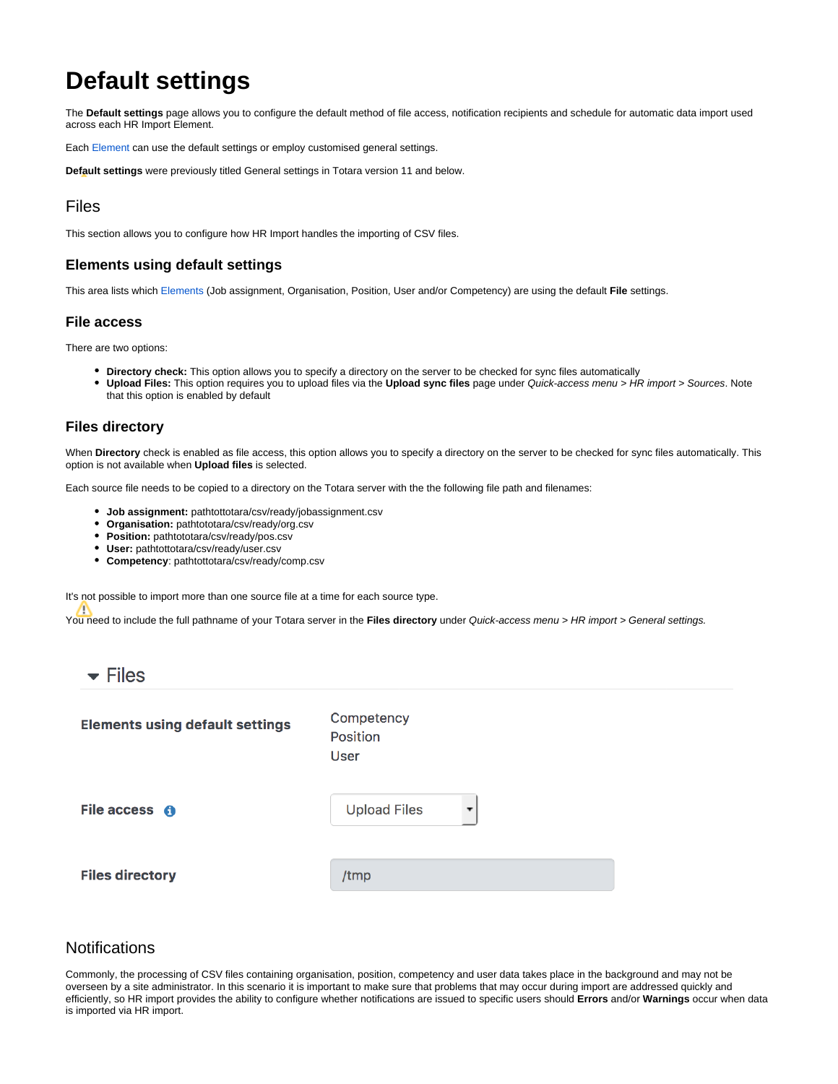# **Default settings**

The **Default settings** page allows you to configure the default method of file access, notification recipients and schedule for automatic data import used across each HR Import Element.

Each [Element](https://help.totaralearning.com/display/TH13/Elements) can use the default settings or employ customised general settings.

**Default settings** were previously titled General settings in Totara version 11 and below.

# Files

This section allows you to configure how HR Import handles the importing of CSV files.

#### **Elements using default settings**

This area lists which [Elements](https://help.totaralearning.com/display/TH13/Elements) (Job assignment, Organisation, Position, User and/or Competency) are using the default **File** settings.

#### **File access**

There are two options:

- **Directory check:** This option allows you to specify a directory on the server to be checked for sync files automatically
- **Upload Files:** This option requires you to upload files via the **Upload sync files** page under Quick-access menu > HR import > Sources. Note that this option is enabled by default

#### **Files directory**

When **Directory** check is enabled as file access, this option allows you to specify a directory on the server to be checked for sync files automatically. This option is not available when **Upload files** is selected.

Each source file needs to be copied to a directory on the Totara server with the the following file path and filenames:

- **Job assignment:** pathtottotara/csv/ready/jobassignment.csv
- **Organisation:** pathtototara/csv/ready/org.csv
- **Position:** pathtototara/csv/ready/pos.csv
- **User:** pathtottotara/csv/ready/user.csv
- **Competency**: pathtottotara/csv/ready/comp.csv

It's not possible to import more than one source file at a time for each source type.

You need to include the full pathname of your Totara server in the **Files directory** under Quick-access menu > HR import > General settings.

| Competency<br>Position<br>User |   |
|--------------------------------|---|
| <b>Upload Files</b>            | ▼ |
| /tmp                           |   |
|                                |   |

# **Notifications**

Commonly, the processing of CSV files containing organisation, position, competency and user data takes place in the background and may not be overseen by a site administrator. In this scenario it is important to make sure that problems that may occur during import are addressed quickly and efficiently, so HR import provides the ability to configure whether notifications are issued to specific users should **Errors** and/or **Warnings** occur when data is imported via HR import.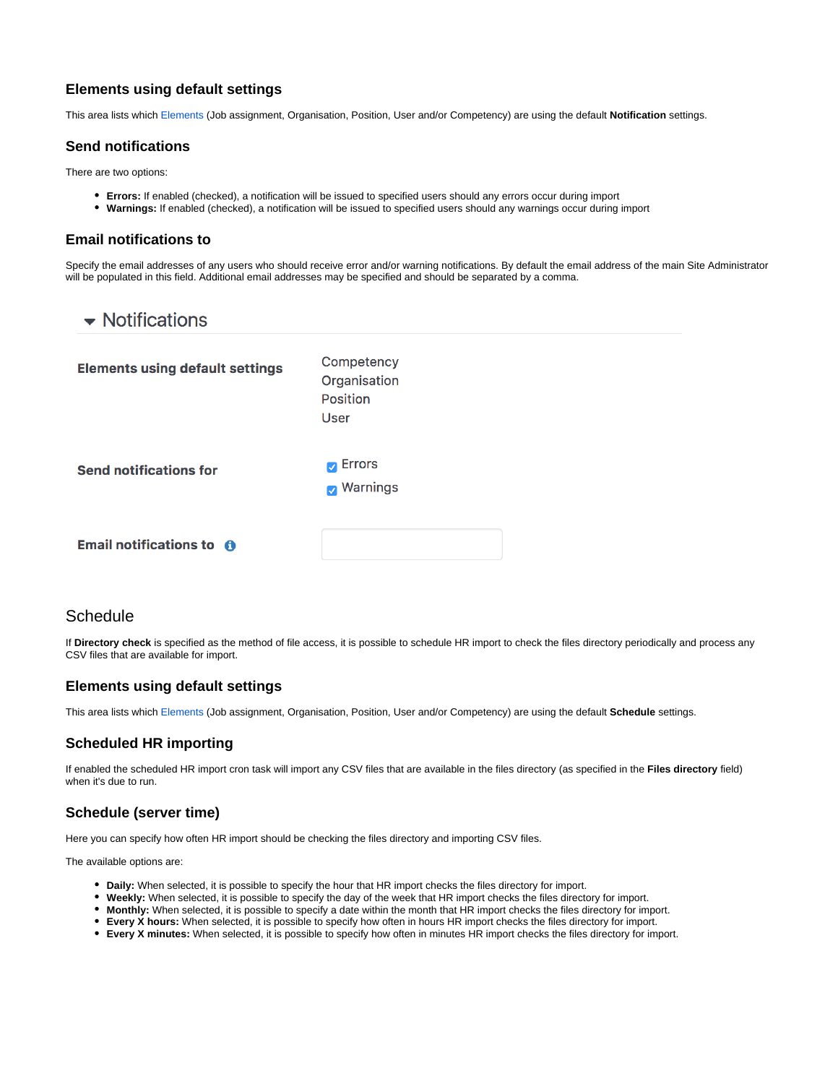## **Elements using default settings**

This area lists which [Elements](https://help.totaralearning.com/display/TH13/Elements) (Job assignment, Organisation, Position, User and/or Competency) are using the default **Notification** settings.

#### **Send notifications**

There are two options:

- **Errors:** If enabled (checked), a notification will be issued to specified users should any errors occur during import
- **Warnings:** If enabled (checked), a notification will be issued to specified users should any warnings occur during import

#### **Email notifications to**

Specify the email addresses of any users who should receive error and/or warning notifications. By default the email address of the main Site Administrator will be populated in this field. Additional email addresses may be specified and should be separated by a comma.

| $\blacktriangleright$ Notifications               |                                                       |  |  |  |  |  |
|---------------------------------------------------|-------------------------------------------------------|--|--|--|--|--|
| <b>Elements using default settings</b>            | Competency<br>Organisation<br><b>Position</b><br>User |  |  |  |  |  |
| <b>Send notifications for</b>                     | $\blacksquare$ Errors<br><b>Marnings</b>              |  |  |  |  |  |
| <b>Email notifications to <math>\theta</math></b> |                                                       |  |  |  |  |  |

# **Schedule**

If **Directory check** is specified as the method of file access, it is possible to schedule HR import to check the files directory periodically and process any CSV files that are available for import.

#### **Elements using default settings**

This area lists which [Elements](https://help.totaralearning.com/display/TH13/Elements) (Job assignment, Organisation, Position, User and/or Competency) are using the default **Schedule** settings.

#### **Scheduled HR importing**

If enabled the scheduled HR import cron task will import any CSV files that are available in the files directory (as specified in the **Files directory** field) when it's due to run.

#### **Schedule (server time)**

Here you can specify how often HR import should be checking the files directory and importing CSV files.

The available options are:

- **Daily:** When selected, it is possible to specify the hour that HR import checks the files directory for import.
- **Weekly:** When selected, it is possible to specify the day of the week that HR import checks the files directory for import.
- **Monthly:** When selected, it is possible to specify a date within the month that HR import checks the files directory for import.
- **Every X hours:** When selected, it is possible to specify how often in hours HR import checks the files directory for import.
- **Every X minutes:** When selected, it is possible to specify how often in minutes HR import checks the files directory for import.